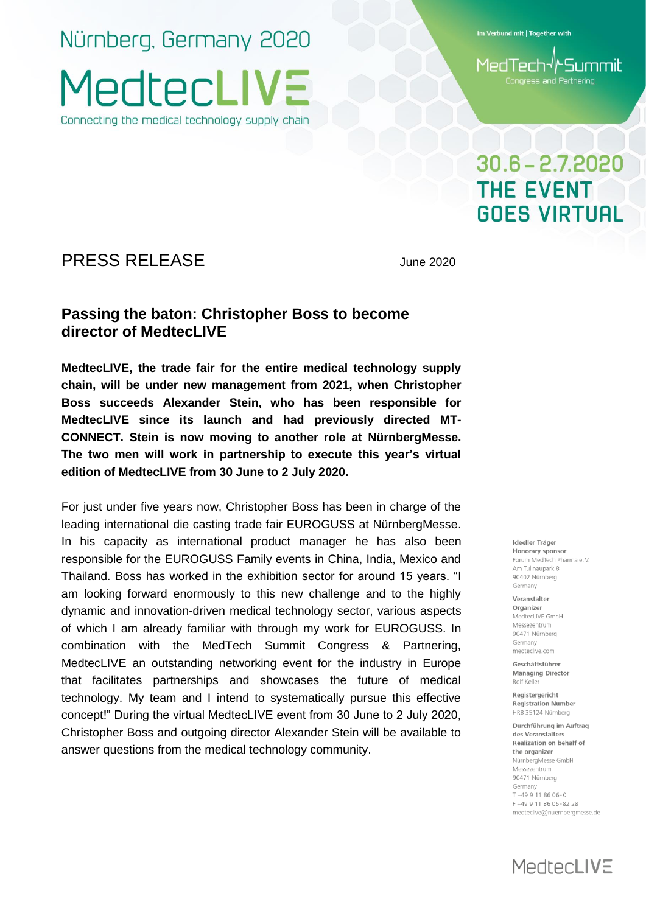Nürnberg, Germany 2020 **MedtecLIV** Connecting the medical technology supply chain

Im Verbund mit | Together with

MedTech√∤Summit Congress and Partnering

## $30.6 - 2.7.2020$ **THE EVENT GOES VIRTUAL**

### PRESS RELEASE June 2020

### **Passing the baton: Christopher Boss to become director of MedtecLIVE**

**MedtecLIVE, the trade fair for the entire medical technology supply chain, will be under new management from 2021, when Christopher Boss succeeds Alexander Stein, who has been responsible for MedtecLIVE since its launch and had previously directed MT-CONNECT. Stein is now moving to another role at NürnbergMesse. The two men will work in partnership to execute this year's virtual edition of MedtecLIVE from 30 June to 2 July 2020.** 

For just under five years now, Christopher Boss has been in charge of the leading international die casting trade fair EUROGUSS at NürnbergMesse. In his capacity as international product manager he has also been responsible for the EUROGUSS Family events in China, India, Mexico and Thailand. Boss has worked in the exhibition sector for around 15 years. "I am looking forward enormously to this new challenge and to the highly dynamic and innovation-driven medical technology sector, various aspects of which I am already familiar with through my work for EUROGUSS. In combination with the MedTech Summit Congress & Partnering, MedtecLIVE an outstanding networking event for the industry in Europe that facilitates partnerships and showcases the future of medical technology. My team and I intend to systematically pursue this effective concept!" During the virtual MedtecLIVE event from 30 June to 2 July 2020, Christopher Boss and outgoing director Alexander Stein will be available to answer questions from the medical technology community.

#### Ideeller Träger Honorary sponsor Forum MedTech Pharma e.V. Am Tullnaupark 8 90402 Nürnberg

Veranstalter Organizer MedtecLIVE GmbH Messezentrum 90471 Nürnberg Germany medteclive.com

Germany

Geschäftsführer **Managing Director** Rolf Kelle

Reaisteraericht **Registration Number** HRB 35124 Nürnberg

Durchführung im Auftrag des Veranstalters Realization on behalf of the organizer NürnbergMesse GmbH Messezentrum 90471 Nürnberg Germany  $T + 499118606 - 0$ F+49 9 11 86 06-82 28 medteclive@nuernbergmesse.de